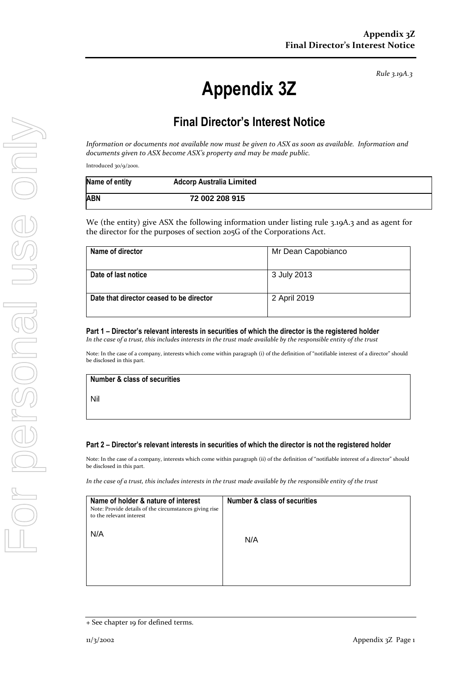*Rule 3.19A.3*

# **Appendix 3Z**

# **Final Director's Interest Notice**

*Information or documents not available now must be given to ASX as soon as available. Information and documents given to ASX become ASX's property and may be made public.*

Introduced 30/9/2001.

| Name of entity | <b>Adcorp Australia Limited</b> |  |
|----------------|---------------------------------|--|
| ABN            | 72 002 208 915                  |  |

We (the entity) give ASX the following information under listing rule 3.19A.3 and as agent for the director for the purposes of section 205G of the Corporations Act.

| Name of director                         | Mr Dean Capobianco |
|------------------------------------------|--------------------|
| Date of last notice                      | 3 July 2013        |
| Date that director ceased to be director | 2 April 2019       |

## **Part 1 – Director's relevant interests in securities of which the director is the registered holder**

*In the case of a trust, this includes interests in the trust made available by the responsible entity of the trust*

Note: In the case of a company, interests which come within paragraph (i) of the definition of "notifiable interest of a director" should be disclosed in this part.

#### **Number & class of securities**

Nil

#### **Part 2 – Director's relevant interests in securities of which the director is not the registered holder**

Note: In the case of a company, interests which come within paragraph (ii) of the definition of "notifiable interest of a director" should be disclosed in this part.

*In the case of a trust, this includes interests in the trust made available by the responsible entity of the trust*

| Name of holder & nature of interest<br>Note: Provide details of the circumstances giving rise<br>to the relevant interest | <b>Number &amp; class of securities</b> |
|---------------------------------------------------------------------------------------------------------------------------|-----------------------------------------|
| N/A                                                                                                                       | N/A                                     |
|                                                                                                                           |                                         |

<sup>+</sup> See chapter 19 for defined terms.